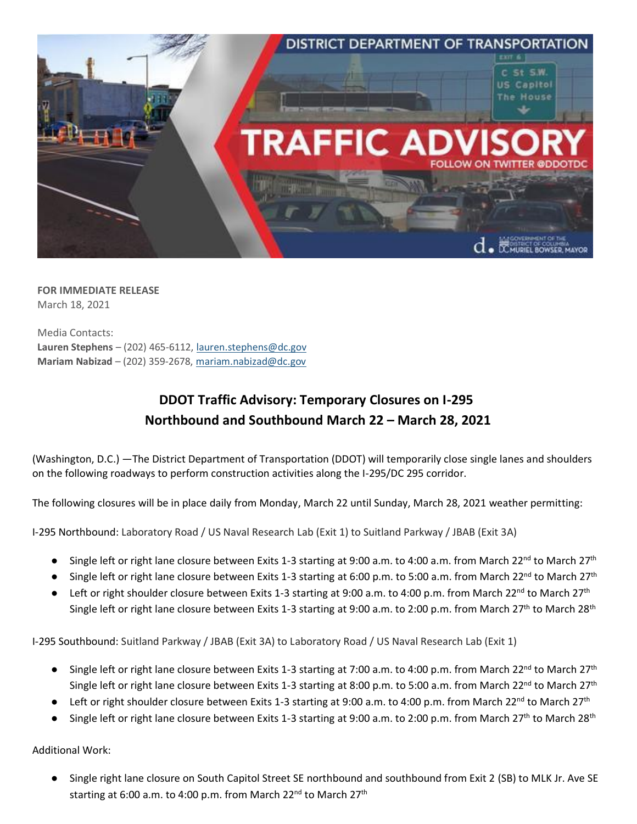

**FOR IMMEDIATE RELEASE** March 18, 2021

Media Contacts: **Lauren Stephens** – (202) 465-6112[, lauren.stephens@dc.gov](mailto:lauren.stephens@dc.gov) **Mariam Nabizad** – (202) 359-2678, [mariam.nabizad@dc.gov](mailto:mariam.nabizad@dc.gov)

## **DDOT Traffic Advisory: Temporary Closures on I-295 Northbound and Southbound March 22 – March 28, 2021**

(Washington, D.C.) —The District Department of Transportation (DDOT) will temporarily close single lanes and shoulders on the following roadways to perform construction activities along the I-295/DC 295 corridor.

The following closures will be in place daily from Monday, March 22 until Sunday, March 28, 2021 weather permitting:

I-295 Northbound: Laboratory Road / US Naval Research Lab (Exit 1) to Suitland Parkway / JBAB (Exit 3A)

- Single left or right lane closure between Exits 1-3 starting at 9:00 a.m. to 4:00 a.m. from March 22<sup>nd</sup> to March 27<sup>th</sup>
- Single left or right lane closure between Exits 1-3 starting at 6:00 p.m. to 5:00 a.m. from March 22<sup>nd</sup> to March 27<sup>th</sup>
- Left or right shoulder closure between Exits 1-3 starting at 9:00 a.m. to 4:00 p.m. from March 22<sup>nd</sup> to March 27<sup>th</sup> Single left or right lane closure between Exits 1-3 starting at 9:00 a.m. to 2:00 p.m. from March 27<sup>th</sup> to March 28<sup>th</sup>

I-295 Southbound: Suitland Parkway / JBAB (Exit 3A) to Laboratory Road / US Naval Research Lab (Exit 1)

- Single left or right lane closure between Exits 1-3 starting at 7:00 a.m. to 4:00 p.m. from March 22<sup>nd</sup> to March 27<sup>th</sup> Single left or right lane closure between Exits 1-3 starting at 8:00 p.m. to 5:00 a.m. from March 22<sup>nd</sup> to March 27<sup>th</sup>
- $\bullet$  Left or right shoulder closure between Exits 1-3 starting at 9:00 a.m. to 4:00 p.m. from March 22<sup>nd</sup> to March 27<sup>th</sup>
- Single left or right lane closure between Exits 1-3 starting at 9:00 a.m. to 2:00 p.m. from March 27<sup>th</sup> to March 28<sup>th</sup>

Additional Work:

Single right lane closure on South Capitol Street SE northbound and southbound from Exit 2 (SB) to MLK Jr. Ave SE starting at 6:00 a.m. to 4:00 p.m. from March  $22^{nd}$  to March  $27<sup>th</sup>$